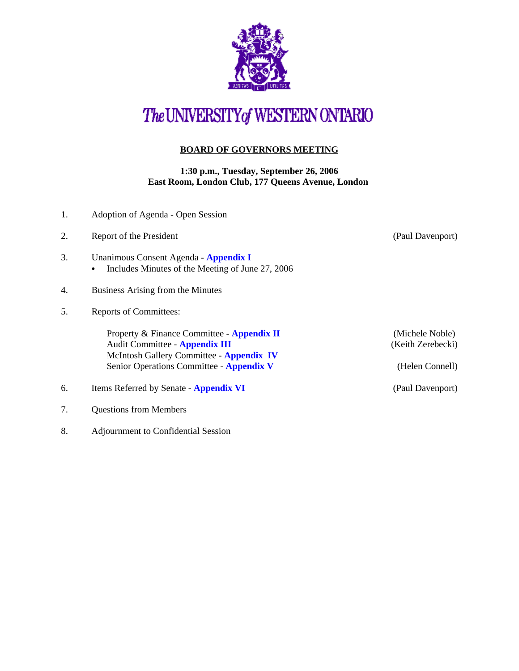

# The UNIVERSITY of WESTERN ONTARIO

## **BOARD OF GOVERNORS MEETING**

#### **1:30 p.m., Tuesday, September 26, 2006 East Room, London Club, 177 Queens Avenue, London**

| 1. | Adoption of Agenda - Open Session                                                                                                                                    |                                                         |
|----|----------------------------------------------------------------------------------------------------------------------------------------------------------------------|---------------------------------------------------------|
| 2. | Report of the President                                                                                                                                              | (Paul Davenport)                                        |
| 3. | Unanimous Consent Agenda - Appendix I<br>Includes Minutes of the Meeting of June 27, 2006<br>$\bullet$                                                               |                                                         |
| 4. | Business Arising from the Minutes                                                                                                                                    |                                                         |
| 5. | <b>Reports of Committees:</b>                                                                                                                                        |                                                         |
|    | Property & Finance Committee - Appendix II<br>Audit Committee - Appendix III<br>McIntosh Gallery Committee - Appendix IV<br>Senior Operations Committee - Appendix V | (Michele Noble)<br>(Keith Zerebecki)<br>(Helen Connell) |
| 6. | Items Referred by Senate - Appendix VI                                                                                                                               | (Paul Davenport)                                        |
| 7. | <b>Questions from Members</b>                                                                                                                                        |                                                         |

8. Adjournment to Confidential Session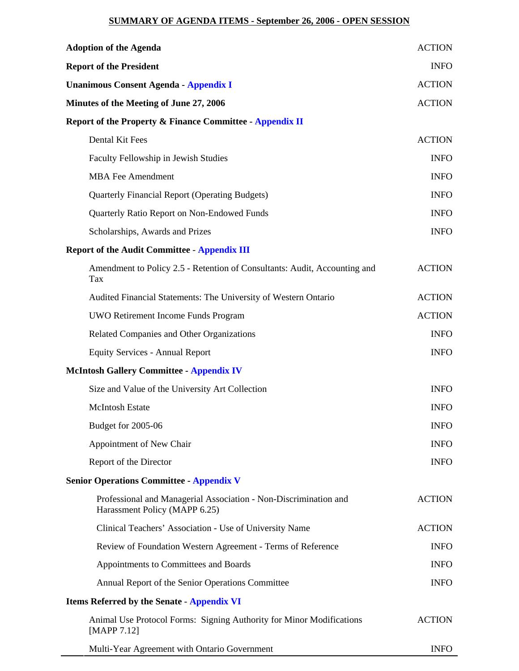## **SUMMARY OF AGENDA ITEMS - September 26, 2006 - OPEN SESSION**

| <b>Adoption of the Agenda</b>                                                                     | <b>ACTION</b> |  |  |
|---------------------------------------------------------------------------------------------------|---------------|--|--|
| <b>Report of the President</b>                                                                    |               |  |  |
| <b>Unanimous Consent Agenda - Appendix I</b>                                                      | <b>ACTION</b> |  |  |
| Minutes of the Meeting of June 27, 2006                                                           | <b>ACTION</b> |  |  |
| Report of the Property & Finance Committee - Appendix II                                          |               |  |  |
| Dental Kit Fees                                                                                   | <b>ACTION</b> |  |  |
| Faculty Fellowship in Jewish Studies                                                              | <b>INFO</b>   |  |  |
| <b>MBA Fee Amendment</b>                                                                          | <b>INFO</b>   |  |  |
| <b>Quarterly Financial Report (Operating Budgets)</b>                                             | <b>INFO</b>   |  |  |
| Quarterly Ratio Report on Non-Endowed Funds                                                       | <b>INFO</b>   |  |  |
| Scholarships, Awards and Prizes                                                                   | <b>INFO</b>   |  |  |
| <b>Report of the Audit Committee - Appendix III</b>                                               |               |  |  |
| Amendment to Policy 2.5 - Retention of Consultants: Audit, Accounting and<br>Tax                  | <b>ACTION</b> |  |  |
| Audited Financial Statements: The University of Western Ontario                                   | <b>ACTION</b> |  |  |
| UWO Retirement Income Funds Program                                                               | <b>ACTION</b> |  |  |
| Related Companies and Other Organizations                                                         | <b>INFO</b>   |  |  |
| <b>Equity Services - Annual Report</b>                                                            | <b>INFO</b>   |  |  |
| <b>McIntosh Gallery Committee - Appendix IV</b>                                                   |               |  |  |
| Size and Value of the University Art Collection                                                   | <b>INFO</b>   |  |  |
| <b>McIntosh Estate</b>                                                                            | <b>INFO</b>   |  |  |
| Budget for 2005-06                                                                                | <b>INFO</b>   |  |  |
| Appointment of New Chair                                                                          | <b>INFO</b>   |  |  |
| Report of the Director                                                                            | <b>INFO</b>   |  |  |
| <b>Senior Operations Committee - Appendix V</b>                                                   |               |  |  |
| Professional and Managerial Association - Non-Discrimination and<br>Harassment Policy (MAPP 6.25) | <b>ACTION</b> |  |  |
| Clinical Teachers' Association - Use of University Name                                           | <b>ACTION</b> |  |  |
| Review of Foundation Western Agreement - Terms of Reference                                       | <b>INFO</b>   |  |  |
| Appointments to Committees and Boards                                                             | <b>INFO</b>   |  |  |
| Annual Report of the Senior Operations Committee                                                  | <b>INFO</b>   |  |  |
| <b>Items Referred by the Senate - Appendix VI</b>                                                 |               |  |  |
| Animal Use Protocol Forms: Signing Authority for Minor Modifications<br>[MAPP 7.12]               | <b>ACTION</b> |  |  |
| Multi-Year Agreement with Ontario Government                                                      | <b>INFO</b>   |  |  |